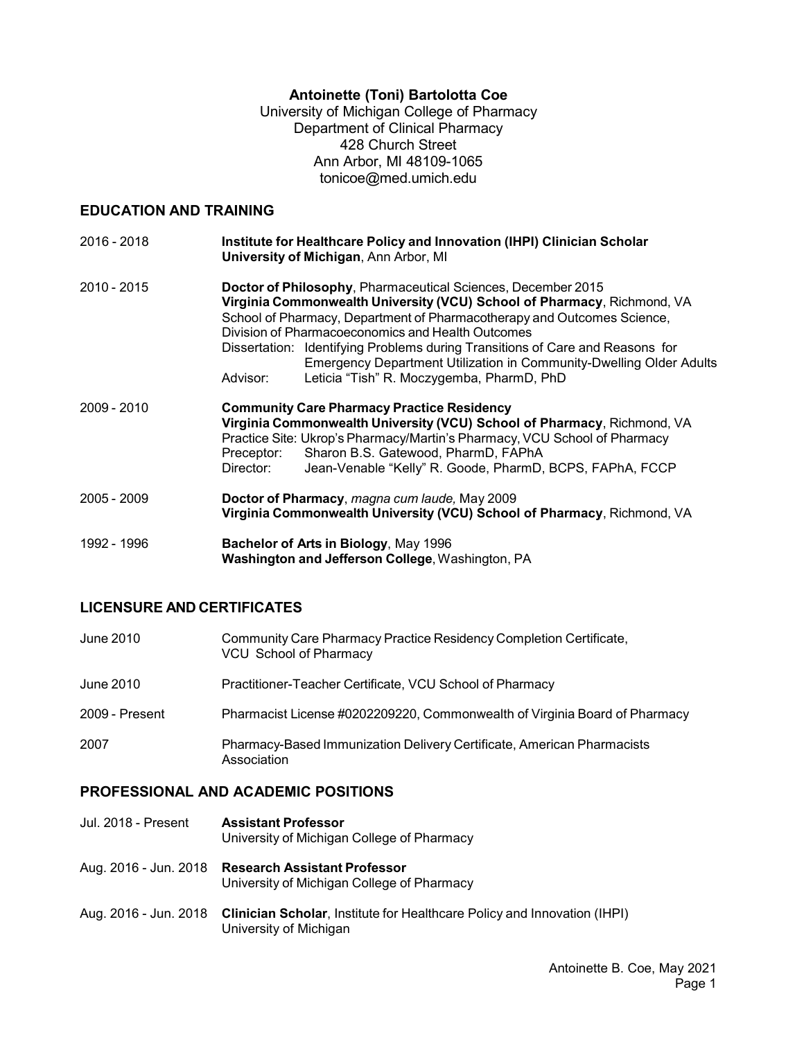# **Antoinette (Toni) Bartolotta Coe**

University of Michigan College of Pharmacy Department of Clinical Pharmacy 428 Church Street Ann Arbor, MI 48109-1065 [tonicoe@med.umich.edu](mailto:abcoe@vcu.edu)

# **EDUCATION AND TRAINING**

| 2016 - 2018 | Institute for Healthcare Policy and Innovation (IHPI) Clinician Scholar<br>University of Michigan, Ann Arbor, MI                                                                                                                                                                                                                                         |  |  |  |
|-------------|----------------------------------------------------------------------------------------------------------------------------------------------------------------------------------------------------------------------------------------------------------------------------------------------------------------------------------------------------------|--|--|--|
| 2010 - 2015 | Doctor of Philosophy, Pharmaceutical Sciences, December 2015<br>Virginia Commonwealth University (VCU) School of Pharmacy, Richmond, VA<br>School of Pharmacy, Department of Pharmacotherapy and Outcomes Science,<br>Division of Pharmacoeconomics and Health Outcomes<br>Dissertation: Identifying Problems during Transitions of Care and Reasons for |  |  |  |
|             | <b>Emergency Department Utilization in Community-Dwelling Older Adults</b><br>Leticia "Tish" R. Moczygemba, PharmD, PhD<br>Advisor:                                                                                                                                                                                                                      |  |  |  |
| 2009 - 2010 | <b>Community Care Pharmacy Practice Residency</b><br>Virginia Commonwealth University (VCU) School of Pharmacy, Richmond, VA<br>Practice Site: Ukrop's Pharmacy/Martin's Pharmacy, VCU School of Pharmacy<br>Sharon B.S. Gatewood, PharmD, FAPhA<br>Preceptor:<br>Director:<br>Jean-Venable "Kelly" R. Goode, PharmD, BCPS, FAPhA, FCCP                  |  |  |  |
| 2005 - 2009 | Doctor of Pharmacy, magna cum laude, May 2009<br>Virginia Commonwealth University (VCU) School of Pharmacy, Richmond, VA                                                                                                                                                                                                                                 |  |  |  |
| 1992 - 1996 | Bachelor of Arts in Biology, May 1996<br>Washington and Jefferson College, Washington, PA                                                                                                                                                                                                                                                                |  |  |  |

# **LICENSURE AND CERTIFICATES**

| June 2010      | Community Care Pharmacy Practice Residency Completion Certificate,<br><b>VCU School of Pharmacy</b> |
|----------------|-----------------------------------------------------------------------------------------------------|
| June 2010      | Practitioner-Teacher Certificate, VCU School of Pharmacy                                            |
| 2009 - Present | Pharmacist License #0202209220, Commonwealth of Virginia Board of Pharmacy                          |
| 2007           | Pharmacy-Based Immunization Delivery Certificate, American Pharmacists<br>Association               |

# **PROFESSIONAL AND ACADEMIC POSITIONS**

| Jul. 2018 - Present | <b>Assistant Professor</b><br>University of Michigan College of Pharmacy                                                 |
|---------------------|--------------------------------------------------------------------------------------------------------------------------|
|                     | Aug. 2016 - Jun. 2018 Research Assistant Professor<br>University of Michigan College of Pharmacy                         |
|                     | Aug. 2016 - Jun. 2018 Clinician Scholar, Institute for Healthcare Policy and Innovation (IHPI)<br>University of Michigan |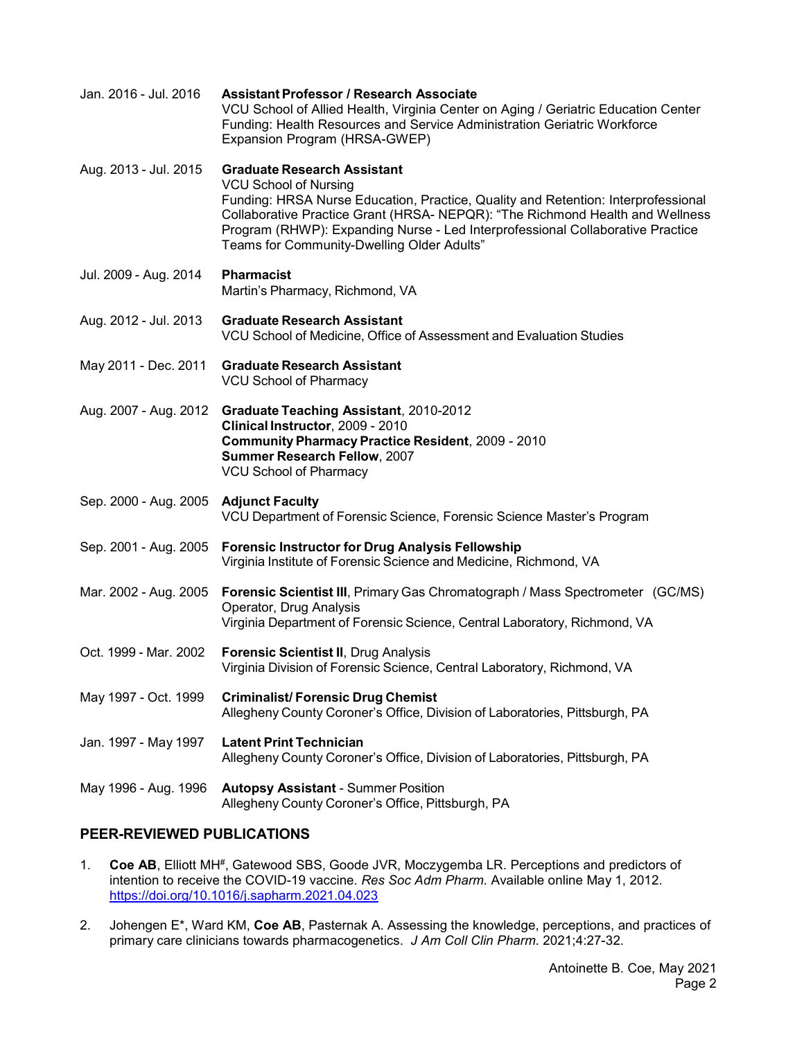| Jan. 2016 - Jul. 2016                 | <b>Assistant Professor / Research Associate</b><br>VCU School of Allied Health, Virginia Center on Aging / Geriatric Education Center<br>Funding: Health Resources and Service Administration Geriatric Workforce<br>Expansion Program (HRSA-GWEP)                                                                                                                       |
|---------------------------------------|--------------------------------------------------------------------------------------------------------------------------------------------------------------------------------------------------------------------------------------------------------------------------------------------------------------------------------------------------------------------------|
| Aug. 2013 - Jul. 2015                 | <b>Graduate Research Assistant</b><br><b>VCU School of Nursing</b><br>Funding: HRSA Nurse Education, Practice, Quality and Retention: Interprofessional<br>Collaborative Practice Grant (HRSA- NEPQR): "The Richmond Health and Wellness<br>Program (RHWP): Expanding Nurse - Led Interprofessional Collaborative Practice<br>Teams for Community-Dwelling Older Adults" |
| Jul. 2009 - Aug. 2014                 | <b>Pharmacist</b><br>Martin's Pharmacy, Richmond, VA                                                                                                                                                                                                                                                                                                                     |
| Aug. 2012 - Jul. 2013                 | <b>Graduate Research Assistant</b><br>VCU School of Medicine, Office of Assessment and Evaluation Studies                                                                                                                                                                                                                                                                |
| May 2011 - Dec. 2011                  | <b>Graduate Research Assistant</b><br><b>VCU School of Pharmacy</b>                                                                                                                                                                                                                                                                                                      |
| Aug. 2007 - Aug. 2012                 | <b>Graduate Teaching Assistant, 2010-2012</b><br>Clinical Instructor, 2009 - 2010<br>Community Pharmacy Practice Resident, 2009 - 2010<br>Summer Research Fellow, 2007<br><b>VCU School of Pharmacy</b>                                                                                                                                                                  |
| Sep. 2000 - Aug. 2005 Adjunct Faculty | VCU Department of Forensic Science, Forensic Science Master's Program                                                                                                                                                                                                                                                                                                    |
| Sep. 2001 - Aug. 2005                 | <b>Forensic Instructor for Drug Analysis Fellowship</b><br>Virginia Institute of Forensic Science and Medicine, Richmond, VA                                                                                                                                                                                                                                             |
| Mar. 2002 - Aug. 2005                 | <b>Forensic Scientist III</b> , Primary Gas Chromatograph / Mass Spectrometer (GC/MS)<br>Operator, Drug Analysis<br>Virginia Department of Forensic Science, Central Laboratory, Richmond, VA                                                                                                                                                                            |
| Oct. 1999 - Mar. 2002                 | <b>Forensic Scientist II, Drug Analysis</b><br>Virginia Division of Forensic Science, Central Laboratory, Richmond, VA                                                                                                                                                                                                                                                   |
| May 1997 - Oct. 1999                  | <b>Criminalist/Forensic Drug Chemist</b><br>Allegheny County Coroner's Office, Division of Laboratories, Pittsburgh, PA                                                                                                                                                                                                                                                  |
| Jan. 1997 - May 1997                  | <b>Latent Print Technician</b><br>Allegheny County Coroner's Office, Division of Laboratories, Pittsburgh, PA                                                                                                                                                                                                                                                            |
| May 1996 - Aug. 1996                  | <b>Autopsy Assistant - Summer Position</b><br>Allegheny County Coroner's Office, Pittsburgh, PA                                                                                                                                                                                                                                                                          |
|                                       |                                                                                                                                                                                                                                                                                                                                                                          |

# **PEER-REVIEWED PUBLICATIONS**

- 1. **Coe AB**, Elliott MH<sup>#</sup>, Gatewood SBS, Goode JVR, Moczygemba LR. Perceptions and predictors of intention to receive the COVID-19 vaccine. *Res Soc Adm Pharm.* Available online May 1, 2012. <https://doi.org/10.1016/j.sapharm.2021.04.023>
- 2. Johengen E\*, Ward KM, **Coe AB**, Pasternak A. Assessing the knowledge, perceptions, and practices of primary care clinicians towards pharmacogenetics. *J Am Coll Clin Pharm*. 2021;4:27-32.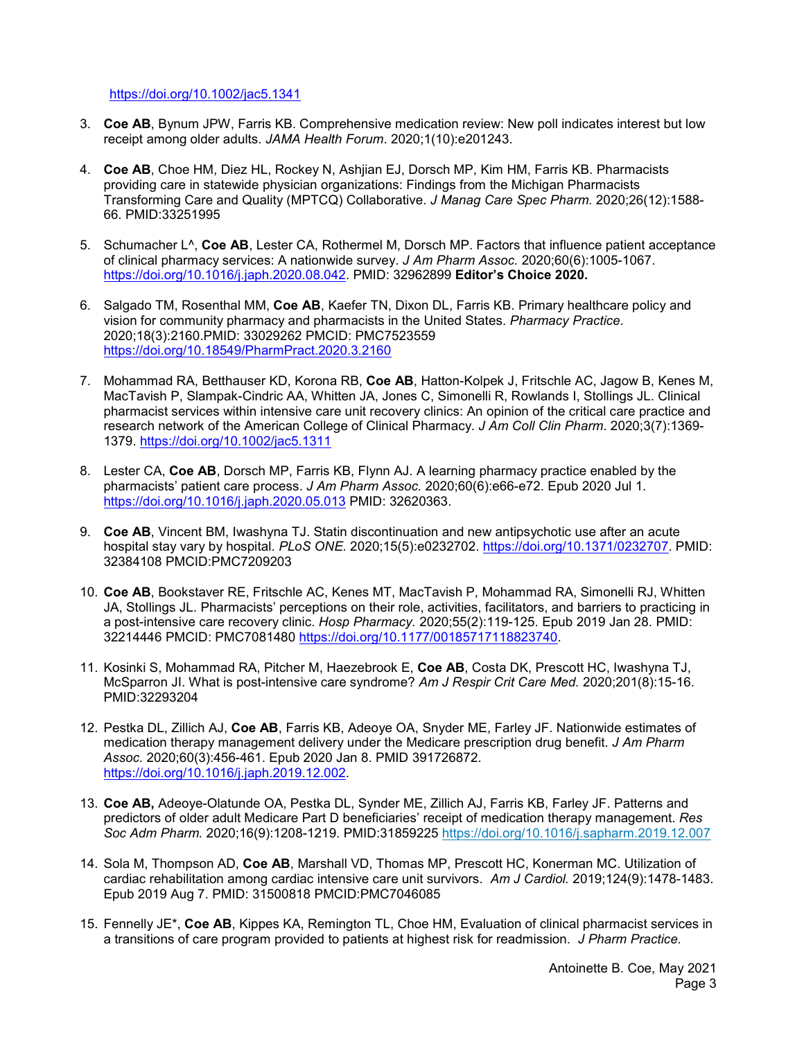<https://doi.org/10.1002/jac5.1341>

- 3. **Coe AB**, Bynum JPW, Farris KB. Comprehensive medication review: New poll indicates interest but low receipt among older adults. *JAMA Health Forum*. 2020;1(10):e201243.
- 4. **Coe AB**, Choe HM, Diez HL, Rockey N, Ashjian EJ, Dorsch MP, Kim HM, Farris KB. Pharmacists providing care in statewide physician organizations: Findings from the Michigan Pharmacists Transforming Care and Quality (MPTCQ) Collaborative. *J Manag Care Spec Pharm.* 2020;26(12):1588- 66. PMID:33251995
- 5. Schumacher L^, **Coe AB**, Lester CA, Rothermel M, Dorsch MP. Factors that influence patient acceptance of clinical pharmacy services: A nationwide survey. *J Am Pharm Assoc.* 2020;60(6):1005-1067. [https://doi.org/10.1016/j.japh.2020.08.042.](https://doi.org/10.1016/j.japh.2020.08.042) PMID: 32962899 **Editor's Choice 2020.**
- 6. Salgado TM, Rosenthal MM, **Coe AB**, Kaefer TN, Dixon DL, Farris KB. Primary healthcare policy and vision for community pharmacy and pharmacists in the United States. *Pharmacy Practice*. 2020;18(3):2160.PMID: 33029262 PMCID: PMC7523559 <https://doi.org/10.18549/PharmPract.2020.3.2160>
- 7. Mohammad RA, Betthauser KD, Korona RB, **Coe AB**, Hatton-Kolpek J, Fritschle AC, Jagow B, Kenes M, MacTavish P, Slampak-Cindric AA, Whitten JA, Jones C, Simonelli R, Rowlands I, Stollings JL. Clinical pharmacist services within intensive care unit recovery clinics: An opinion of the critical care practice and research network of the American College of Clinical Pharmacy. *J Am Coll Clin Pharm*. 2020;3(7):1369- 1379. <https://doi.org/10.1002/jac5.1311>
- 8. Lester CA, **Coe AB**, Dorsch MP, Farris KB, Flynn AJ. A learning pharmacy practice enabled by the pharmacists' patient care process. *J Am Pharm Assoc.* 2020;60(6):e66-e72. Epub 2020 Jul 1. <https://doi.org/10.1016/j.japh.2020.05.013> PMID: 32620363.
- 9. **Coe AB**, Vincent BM, Iwashyna TJ. Statin discontinuation and new antipsychotic use after an acute hospital stay vary by hospital. *PLoS ONE.* 2020;15(5):e0232702. [https://doi.org/10.1371/0232707.](https://doi.org/10.1371/0232707) PMID: 32384108 PMCID:PMC7209203
- 10. **Coe AB**, Bookstaver RE, Fritschle AC, Kenes MT, MacTavish P, Mohammad RA, Simonelli RJ, Whitten JA, Stollings JL. Pharmacists' perceptions on their role, activities, facilitators, and barriers to practicing in a post-intensive care recovery clinic. *Hosp Pharmacy.* 2020;55(2):119-125. Epub 2019 Jan 28. PMID: 32214446 PMCID: PMC7081480 [https://doi.org/10.1177/00185717118823740.](https://doi.org/10.1177/00185717118823740)
- 11. Kosinki S, Mohammad RA, Pitcher M, Haezebrook E, **Coe AB**, Costa DK, Prescott HC, Iwashyna TJ, McSparron JI. What is post-intensive care syndrome? *Am J Respir Crit Care Med.* 2020;201(8):15-16. PMID:32293204
- 12. Pestka DL, Zillich AJ, **Coe AB**, Farris KB, Adeoye OA, Snyder ME, Farley JF. Nationwide estimates of medication therapy management delivery under the Medicare prescription drug benefit. *J Am Pharm Assoc.* 2020;60(3):456-461. Epub 2020 Jan 8. PMID 391726872. [https://doi.org/10.1016/j.japh.2019.12.002.](https://doi.org/10.1016/j.japh.2019.12.002)
- 13. **Coe AB,** Adeoye-Olatunde OA, Pestka DL, Synder ME, Zillich AJ, Farris KB, Farley JF. Patterns and predictors of older adult Medicare Part D beneficiaries' receipt of medication therapy management. *Res Soc Adm Pharm.* 2020;16(9):1208-1219. PMID:31859225 <https://doi.org/10.1016/j.sapharm.2019.12.007>
- 14. Sola M, Thompson AD, **Coe AB**, Marshall VD, Thomas MP, Prescott HC, Konerman MC. Utilization of cardiac rehabilitation among cardiac intensive care unit survivors. *Am J Cardiol.* 2019;124(9):1478-1483. Epub 2019 Aug 7. PMID: 31500818 PMCID:PMC7046085
- 15. Fennelly JE\*, **Coe AB**, Kippes KA, Remington TL, Choe HM, Evaluation of clinical pharmacist services in a transitions of care program provided to patients at highest risk for readmission. *J Pharm Practice.*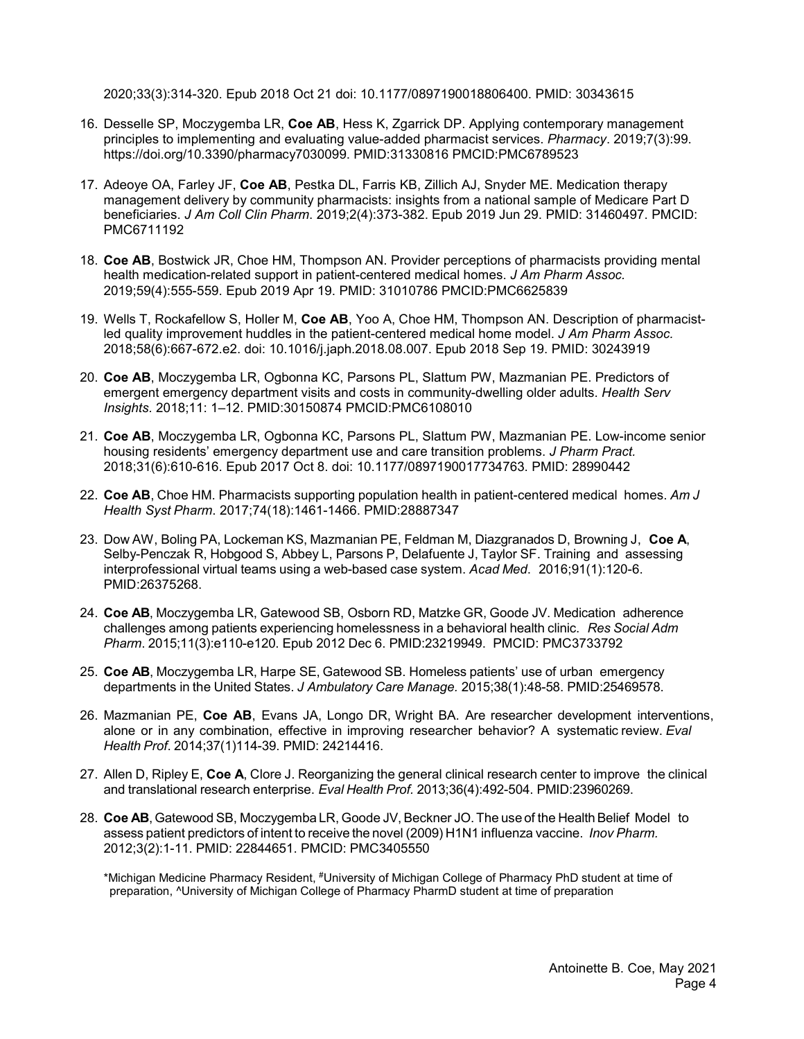2020;33(3):314-320. Epub 2018 Oct 21 doi: 10.1177/0897190018806400. PMID: 30343615

- 16. Desselle SP, Moczygemba LR, **Coe AB**, Hess K, Zgarrick DP. Applying contemporary management principles to implementing and evaluating value-added pharmacist services. *Pharmacy*. 2019;7(3):99. https://doi.org/10.3390/pharmacy7030099. PMID:31330816 PMCID:PMC6789523
- 17. Adeoye OA, Farley JF, **Coe AB**, Pestka DL, Farris KB, Zillich AJ, Snyder ME. Medication therapy management delivery by community pharmacists: insights from a national sample of Medicare Part D beneficiaries. *J Am Coll Clin Pharm*. 2019;2(4):373-382. Epub 2019 Jun 29. PMID: 31460497. PMCID: PMC6711192
- 18. **Coe AB**, Bostwick JR, Choe HM, Thompson AN. Provider perceptions of pharmacists providing mental health medication-related support in patient-centered medical homes. *J Am Pharm Assoc.* 2019;59(4):555-559. Epub 2019 Apr 19. PMID: 31010786 PMCID:PMC6625839
- 19. Wells T, Rockafellow S, Holler M, **Coe AB**, Yoo A, Choe HM, Thompson AN. Description of pharmacistled quality improvement huddles in the patient-centered medical home model. *J Am Pharm Assoc.* 2018;58(6):667-672.e2. doi: 10.1016/j.japh.2018.08.007. Epub 2018 Sep 19. PMID: 30243919
- 20. **Coe AB**, Moczygemba LR, Ogbonna KC, Parsons PL, Slattum PW, Mazmanian PE. Predictors of emergent emergency department visits and costs in community-dwelling older adults. *Health Serv Insights.* 2018;11: 1–12. PMID:30150874 PMCID:PMC6108010
- 21. **Coe AB**, Moczygemba LR, Ogbonna KC, Parsons PL, Slattum PW, Mazmanian PE. Low-income senior housing residents' emergency department use and care transition problems. *J Pharm Pract.* 2018;31(6):610-616. Epub 2017 Oct 8. doi: 10.1177/0897190017734763. PMID: 28990442
- 22. **Coe AB**, Choe HM. Pharmacists supporting population health in patient-centered medical homes. *Am J Health Syst Pharm*. 2017;74(18):1461-1466. PMID:28887347
- 23. Dow AW, Boling PA, Lockeman KS, Mazmanian PE, Feldman M, Diazgranados D, Browning J, **Coe A**, Selby-Penczak R, Hobgood S, Abbey L, Parsons P, Delafuente J, Taylor SF. Training and assessing interprofessional virtual teams using a web-based case system. *Acad Med*. 2016;91(1):120-6. PMID:26375268.
- 24. **Coe AB**, Moczygemba LR, Gatewood SB, Osborn RD, Matzke GR, Goode JV. Medication adherence challenges among patients experiencing homelessness in a behavioral health clinic. *Res Social Adm Pharm*. 2015;11(3):e110-e120. Epub 2012 Dec 6. PMID:23219949. PMCID: PMC3733792
- 25. **Coe AB**, Moczygemba LR, Harpe SE, Gatewood SB. Homeless patients' use of urban emergency departments in the United States. *J Ambulatory Care Manage.* 2015;38(1):48-58. PMID:25469578.
- 26. Mazmanian PE, **Coe AB**, Evans JA, Longo DR, Wright BA. Are researcher development interventions, alone or in any combination, effective in improving researcher behavior? A systematic review. *Eval Health Prof*. 2014;37(1)114-39. PMID: 24214416.
- 27. Allen D, Ripley E, **Coe A**, Clore J. Reorganizing the general clinical research center to improve the clinical and translational research enterprise. *Eval Health Prof.* 2013;36(4):492-504. PMID:23960269.
- 28. Coe AB, Gatewood SB, Moczygemba LR, Goode JV, Beckner JO. The use of the Health Belief Model to assess patient predictors of intent to receive the novel (2009) H1N1 influenza vaccine. *Inov Pharm.* 2012;3(2):1-11. PMID: 22844651. PMCID: PMC3405550

\*Michigan Medicine Pharmacy Resident, #University of Michigan College of Pharmacy PhD student at time of preparation, ^University of Michigan College of Pharmacy PharmD student at time of preparation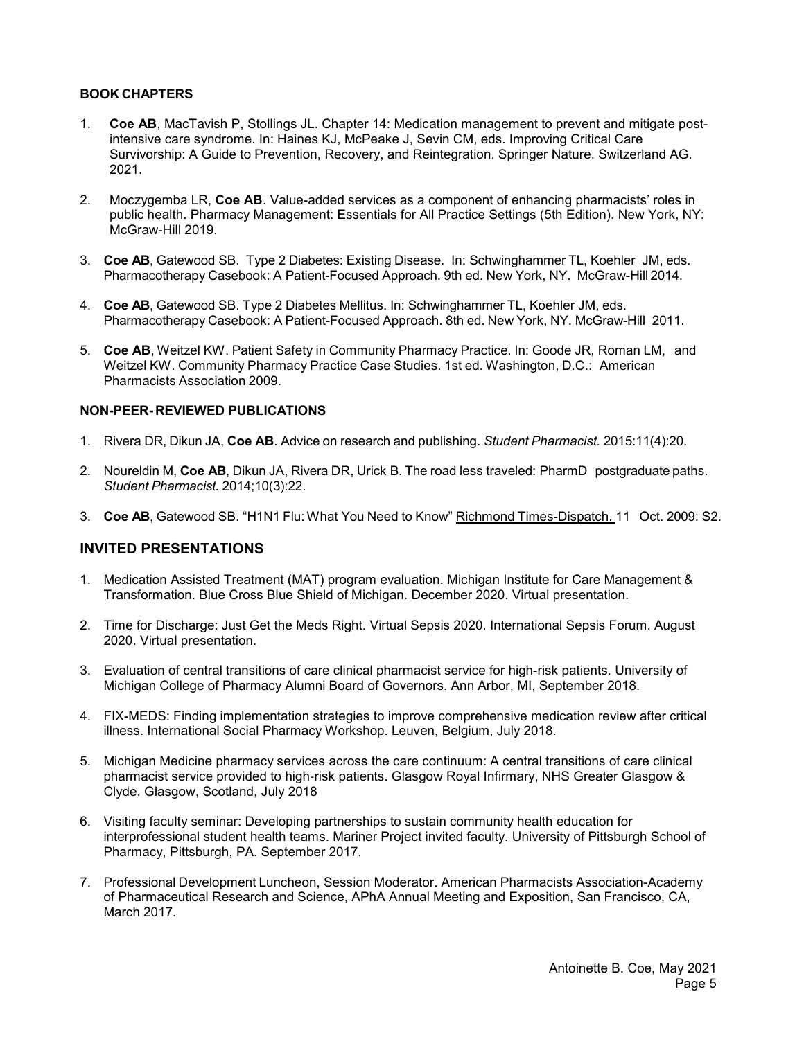## **BOOK CHAPTERS**

- 1. **Coe AB**, MacTavish P, Stollings JL. Chapter 14: Medication management to prevent and mitigate postintensive care syndrome. In: Haines KJ, McPeake J, Sevin CM, eds. Improving Critical Care Survivorship: A Guide to Prevention, Recovery, and Reintegration. Springer Nature. Switzerland AG. 2021.
- 2. Moczygemba LR, **Coe AB**. Value-added services as a component of enhancing pharmacists' roles in public health. Pharmacy Management: Essentials for All Practice Settings (5th Edition). New York, NY: McGraw-Hill 2019.
- 3. **Coe AB**, Gatewood SB. Type 2 Diabetes: Existing Disease. In: Schwinghammer TL, Koehler JM, eds. Pharmacotherapy Casebook: A Patient-Focused Approach. 9th ed. New York, NY. McGraw-Hill 2014.
- 4. **Coe AB**, Gatewood SB. Type 2 Diabetes Mellitus. In: Schwinghammer TL, Koehler JM, eds. Pharmacotherapy Casebook: A Patient-Focused Approach. 8th ed. New York, NY. McGraw-Hill 2011.
- 5. **Coe AB**, Weitzel KW. Patient Safety in Community Pharmacy Practice. In: Goode JR, Roman LM, and Weitzel KW. Community Pharmacy Practice Case Studies. 1st ed. Washington, D.C.: American Pharmacists Association 2009.

## **NON-PEER- REVIEWED PUBLICATIONS**

- 1. Rivera DR, Dikun JA, **Coe AB**. Advice on research and publishing. *Student Pharmacist.* 2015:11(4):20.
- 2. Noureldin M, **Coe AB**, Dikun JA, Rivera DR, Urick B. The road less traveled: PharmD postgraduate paths. *Student Pharmacist.* 2014;10(3):22.
- 3. **Coe AB**, Gatewood SB. "H1N1 Flu: What You Need to Know" Richmond Times-Dispatch. 11 Oct. 2009: S2.

## **INVITED PRESENTATIONS**

- 1. Medication Assisted Treatment (MAT) program evaluation. Michigan Institute for Care Management & Transformation. Blue Cross Blue Shield of Michigan. December 2020. Virtual presentation.
- 2. Time for Discharge: Just Get the Meds Right. Virtual Sepsis 2020. International Sepsis Forum. August 2020. Virtual presentation.
- 3. Evaluation of central transitions of care clinical pharmacist service for high-risk patients. University of Michigan College of Pharmacy Alumni Board of Governors. Ann Arbor, MI, September 2018.
- 4. FIX-MEDS: Finding implementation strategies to improve comprehensive medication review after critical illness. International Social Pharmacy Workshop. Leuven, Belgium, July 2018.
- 5. Michigan Medicine pharmacy services across the care continuum: A central transitions of care clinical pharmacist service provided to high‐risk patients. Glasgow Royal Infirmary, NHS Greater Glasgow & Clyde. Glasgow, Scotland, July 2018
- 6. Visiting faculty seminar: Developing partnerships to sustain community health education for interprofessional student health teams. Mariner Project invited faculty. University of Pittsburgh School of Pharmacy, Pittsburgh, PA. September 2017.
- 7. Professional Development Luncheon, Session Moderator. American Pharmacists Association-Academy of Pharmaceutical Research and Science, APhA Annual Meeting and Exposition, San Francisco, CA, March 2017.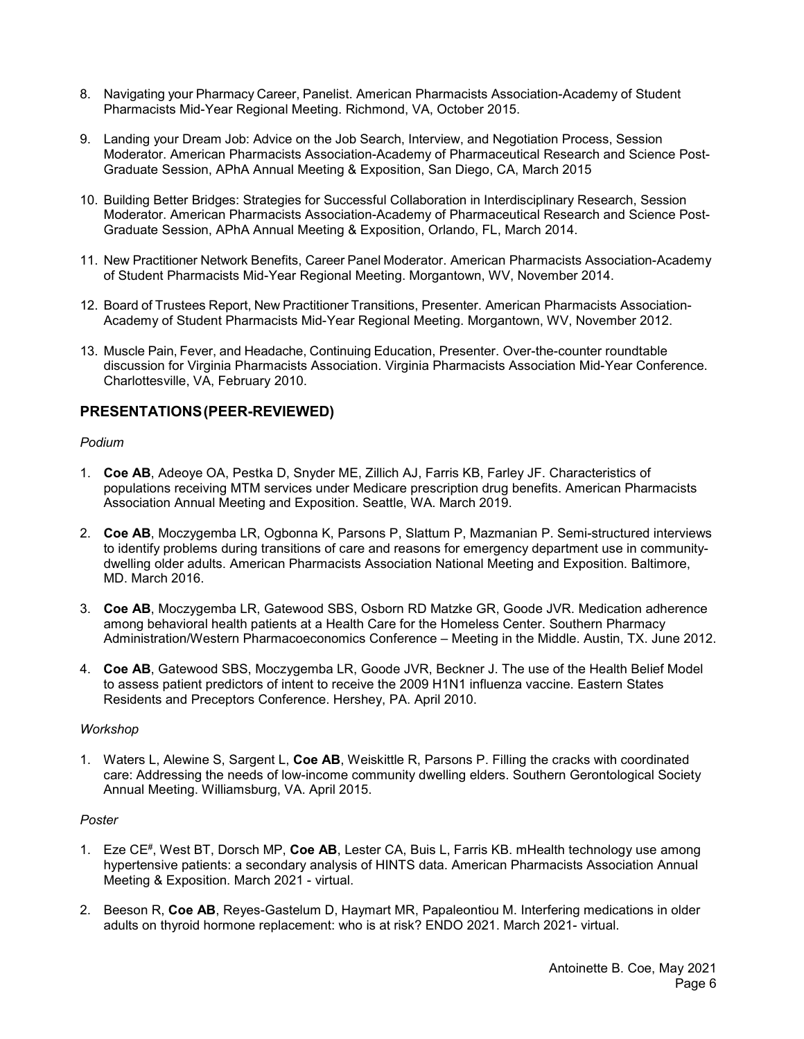- 8. Navigating your Pharmacy Career, Panelist. American Pharmacists Association-Academy of Student Pharmacists Mid-Year Regional Meeting. Richmond, VA, October 2015.
- 9. Landing your Dream Job: Advice on the Job Search, Interview, and Negotiation Process, Session Moderator. American Pharmacists Association-Academy of Pharmaceutical Research and Science Post-Graduate Session, APhA Annual Meeting & Exposition, San Diego, CA, March 2015
- 10. Building Better Bridges: Strategies for Successful Collaboration in Interdisciplinary Research, Session Moderator. American Pharmacists Association-Academy of Pharmaceutical Research and Science Post-Graduate Session, APhA Annual Meeting & Exposition, Orlando, FL, March 2014.
- 11. New Practitioner Network Benefits, Career Panel Moderator. American Pharmacists Association-Academy of Student Pharmacists Mid-Year Regional Meeting. Morgantown, WV, November 2014.
- 12. Board of Trustees Report, New Practitioner Transitions, Presenter. American Pharmacists Association-Academy of Student Pharmacists Mid-Year Regional Meeting. Morgantown, WV, November 2012.
- 13. Muscle Pain, Fever, and Headache, Continuing Education, Presenter. Over-the-counter roundtable discussion for Virginia Pharmacists Association. Virginia Pharmacists Association Mid-Year Conference. Charlottesville, VA, February 2010.

# **PRESENTATIONS(PEER-REVIEWED)**

### *Podium*

- 1. **Coe AB**, Adeoye OA, Pestka D, Snyder ME, Zillich AJ, Farris KB, Farley JF. Characteristics of populations receiving MTM services under Medicare prescription drug benefits. American Pharmacists Association Annual Meeting and Exposition. Seattle, WA. March 2019.
- 2. **Coe AB**, Moczygemba LR, Ogbonna K, Parsons P, Slattum P, Mazmanian P. Semi-structured interviews to identify problems during transitions of care and reasons for emergency department use in communitydwelling older adults. American Pharmacists Association National Meeting and Exposition. Baltimore, MD. March 2016.
- 3. **Coe AB**, Moczygemba LR, Gatewood SBS, Osborn RD Matzke GR, Goode JVR. Medication adherence among behavioral health patients at a Health Care for the Homeless Center. Southern Pharmacy Administration/Western Pharmacoeconomics Conference – Meeting in the Middle. Austin, TX. June 2012.
- 4. **Coe AB**, Gatewood SBS, Moczygemba LR, Goode JVR, Beckner J. The use of the Health Belief Model to assess patient predictors of intent to receive the 2009 H1N1 influenza vaccine. Eastern States Residents and Preceptors Conference. Hershey, PA. April 2010.

### *Workshop*

1. Waters L, Alewine S, Sargent L, **Coe AB**, Weiskittle R, Parsons P. Filling the cracks with coordinated care: Addressing the needs of low-income community dwelling elders. Southern Gerontological Society Annual Meeting. Williamsburg, VA. April 2015.

## *Poster*

- 1. Eze CE#, West BT, Dorsch MP, **Coe AB**, Lester CA, Buis L, Farris KB. mHealth technology use among hypertensive patients: a secondary analysis of HINTS data. American Pharmacists Association Annual Meeting & Exposition. March 2021 - virtual.
- 2. Beeson R, **Coe AB**, Reyes-Gastelum D, Haymart MR, Papaleontiou M. Interfering medications in older adults on thyroid hormone replacement: who is at risk? ENDO 2021. March 2021- virtual.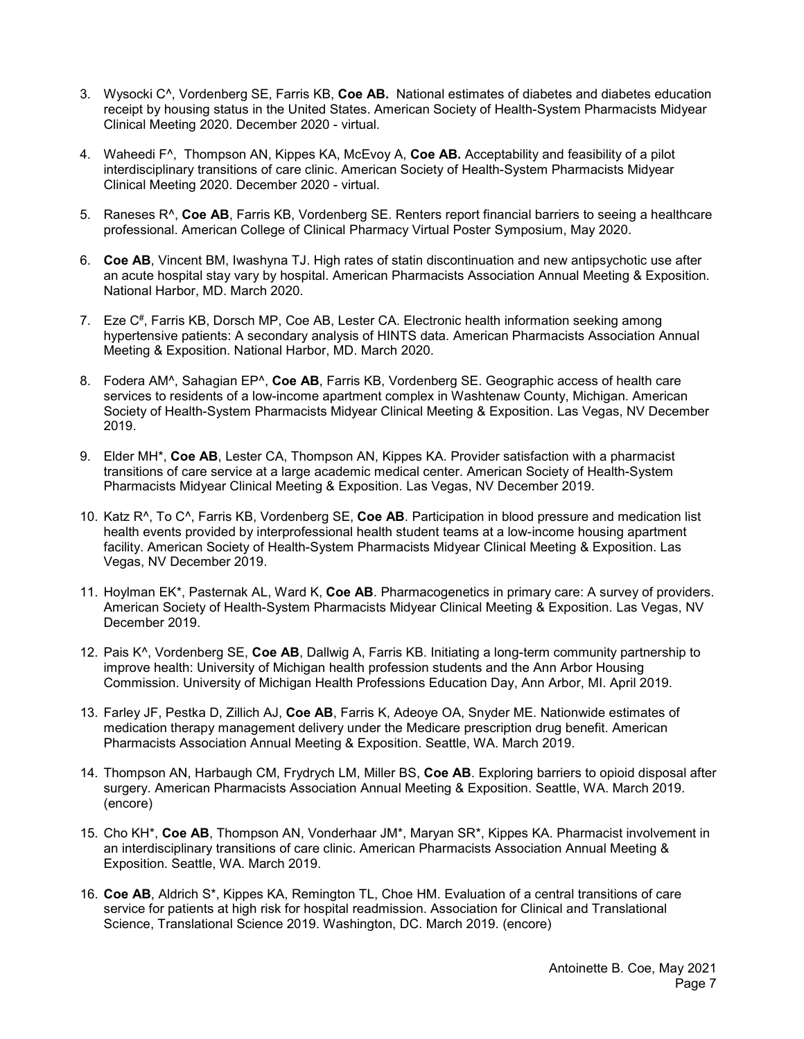- 3. Wysocki C^, Vordenberg SE, Farris KB, **Coe AB.** National estimates of diabetes and diabetes education receipt by housing status in the United States. American Society of Health-System Pharmacists Midyear Clinical Meeting 2020. December 2020 - virtual.
- 4. Waheedi F^, Thompson AN, Kippes KA, McEvoy A, **Coe AB.** Acceptability and feasibility of a pilot interdisciplinary transitions of care clinic. American Society of Health-System Pharmacists Midyear Clinical Meeting 2020. December 2020 - virtual.
- 5. Raneses R^, **Coe AB**, Farris KB, Vordenberg SE. Renters report financial barriers to seeing a healthcare professional. American College of Clinical Pharmacy Virtual Poster Symposium, May 2020.
- 6. **Coe AB**, Vincent BM, Iwashyna TJ. High rates of statin discontinuation and new antipsychotic use after an acute hospital stay vary by hospital. American Pharmacists Association Annual Meeting & Exposition. National Harbor, MD. March 2020.
- 7. Eze C#, Farris KB, Dorsch MP, Coe AB, Lester CA. Electronic health information seeking among hypertensive patients: A secondary analysis of HINTS data. American Pharmacists Association Annual Meeting & Exposition. National Harbor, MD. March 2020.
- 8. Fodera AM^, Sahagian EP^, **Coe AB**, Farris KB, Vordenberg SE. Geographic access of health care services to residents of a low-income apartment complex in Washtenaw County, Michigan. American Society of Health-System Pharmacists Midyear Clinical Meeting & Exposition. Las Vegas, NV December 2019.
- 9. Elder MH\*, **Coe AB**, Lester CA, Thompson AN, Kippes KA. Provider satisfaction with a pharmacist transitions of care service at a large academic medical center. American Society of Health-System Pharmacists Midyear Clinical Meeting & Exposition. Las Vegas, NV December 2019.
- 10. Katz R^, To C^, Farris KB, Vordenberg SE, **Coe AB**. Participation in blood pressure and medication list health events provided by interprofessional health student teams at a low-income housing apartment facility. American Society of Health-System Pharmacists Midyear Clinical Meeting & Exposition. Las Vegas, NV December 2019.
- 11. Hoylman EK\*, Pasternak AL, Ward K, **Coe AB**. Pharmacogenetics in primary care: A survey of providers. American Society of Health-System Pharmacists Midyear Clinical Meeting & Exposition. Las Vegas, NV December 2019.
- 12. Pais K^, Vordenberg SE, **Coe AB**, Dallwig A, Farris KB. Initiating a long-term community partnership to improve health: University of Michigan health profession students and the Ann Arbor Housing Commission. University of Michigan Health Professions Education Day, Ann Arbor, MI. April 2019.
- 13. Farley JF, Pestka D, Zillich AJ, **Coe AB**, Farris K, Adeoye OA, Snyder ME. Nationwide estimates of medication therapy management delivery under the Medicare prescription drug benefit. American Pharmacists Association Annual Meeting & Exposition. Seattle, WA. March 2019.
- 14. Thompson AN, Harbaugh CM, Frydrych LM, Miller BS, **Coe AB**. Exploring barriers to opioid disposal after surgery. American Pharmacists Association Annual Meeting & Exposition. Seattle, WA. March 2019. (encore)
- 15. Cho KH\*, **Coe AB**, Thompson AN, Vonderhaar JM\*, Maryan SR\*, Kippes KA. Pharmacist involvement in an interdisciplinary transitions of care clinic. American Pharmacists Association Annual Meeting & Exposition. Seattle, WA. March 2019.
- 16. **Coe AB**, Aldrich S\*, Kippes KA, Remington TL, Choe HM. Evaluation of a central transitions of care service for patients at high risk for hospital readmission. Association for Clinical and Translational Science, Translational Science 2019. Washington, DC. March 2019. (encore)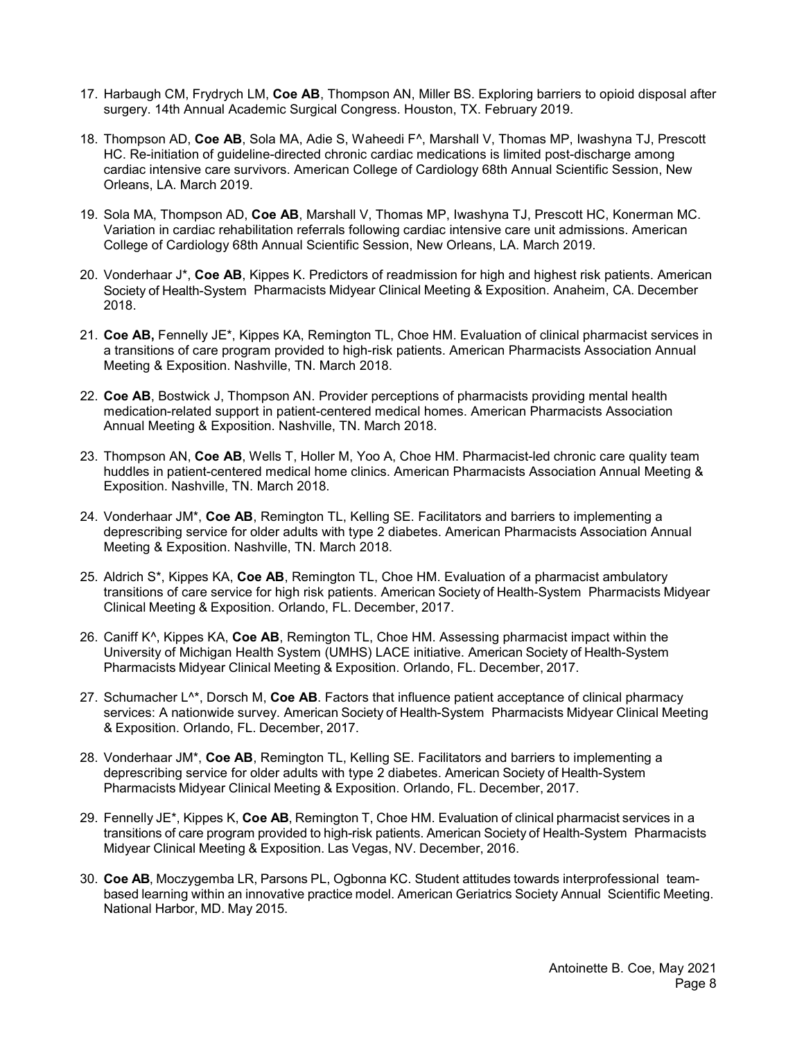- 17. Harbaugh CM, Frydrych LM, **Coe AB**, Thompson AN, Miller BS. Exploring barriers to opioid disposal after surgery. 14th Annual Academic Surgical Congress. Houston, TX. February 2019.
- 18. Thompson AD, **Coe AB**, Sola MA, Adie S, Waheedi F^, Marshall V, Thomas MP, Iwashyna TJ, Prescott HC. Re-initiation of guideline-directed chronic cardiac medications is limited post-discharge among cardiac intensive care survivors. American College of Cardiology 68th Annual Scientific Session, New Orleans, LA. March 2019.
- 19. Sola MA, Thompson AD, **Coe AB**, Marshall V, Thomas MP, Iwashyna TJ, Prescott HC, Konerman MC. Variation in cardiac rehabilitation referrals following cardiac intensive care unit admissions. American College of Cardiology 68th Annual Scientific Session, New Orleans, LA. March 2019.
- 20. Vonderhaar J\*, **Coe AB**, Kippes K. Predictors of readmission for high and highest risk patients. American Society of Health-System Pharmacists Midyear Clinical Meeting & Exposition. Anaheim, CA. December 2018.
- 21. **Coe AB,** Fennelly JE\*, Kippes KA, Remington TL, Choe HM. Evaluation of clinical pharmacist services in a transitions of care program provided to high-risk patients. American Pharmacists Association Annual Meeting & Exposition. Nashville, TN. March 2018.
- 22. **Coe AB**, Bostwick J, Thompson AN. Provider perceptions of pharmacists providing mental health medication-related support in patient-centered medical homes. American Pharmacists Association Annual Meeting & Exposition. Nashville, TN. March 2018.
- 23. Thompson AN, **Coe AB**, Wells T, Holler M, Yoo A, Choe HM. Pharmacist-led chronic care quality team huddles in patient-centered medical home clinics. American Pharmacists Association Annual Meeting & Exposition. Nashville, TN. March 2018.
- 24. Vonderhaar JM\*, **Coe AB**, Remington TL, Kelling SE. Facilitators and barriers to implementing a deprescribing service for older adults with type 2 diabetes. American Pharmacists Association Annual Meeting & Exposition. Nashville, TN. March 2018.
- 25. Aldrich S\*, Kippes KA, **Coe AB**, Remington TL, Choe HM. Evaluation of a pharmacist ambulatory transitions of care service for high risk patients. American Society of Health-System Pharmacists Midyear Clinical Meeting & Exposition. Orlando, FL. December, 2017.
- 26. Caniff K^, Kippes KA, **Coe AB**, Remington TL, Choe HM. Assessing pharmacist impact within the University of Michigan Health System (UMHS) LACE initiative. American Society of Health-System Pharmacists Midyear Clinical Meeting & Exposition. Orlando, FL. December, 2017.
- 27. Schumacher L^\*, Dorsch M, **Coe AB**. Factors that influence patient acceptance of clinical pharmacy services: A nationwide survey. American Society of Health-System Pharmacists Midyear Clinical Meeting & Exposition. Orlando, FL. December, 2017.
- 28. Vonderhaar JM\*, **Coe AB**, Remington TL, Kelling SE. Facilitators and barriers to implementing a deprescribing service for older adults with type 2 diabetes. American Society of Health-System Pharmacists Midyear Clinical Meeting & Exposition. Orlando, FL. December, 2017.
- 29. Fennelly JE\*, Kippes K, **Coe AB**, Remington T, Choe HM. Evaluation of clinical pharmacist services in a transitions of care program provided to high-risk patients. American Society of Health-System Pharmacists Midyear Clinical Meeting & Exposition. Las Vegas, NV. December, 2016.
- 30. **Coe AB**, Moczygemba LR, Parsons PL, Ogbonna KC. Student attitudes towards interprofessional teambased learning within an innovative practice model. American Geriatrics Society Annual Scientific Meeting. National Harbor, MD. May 2015.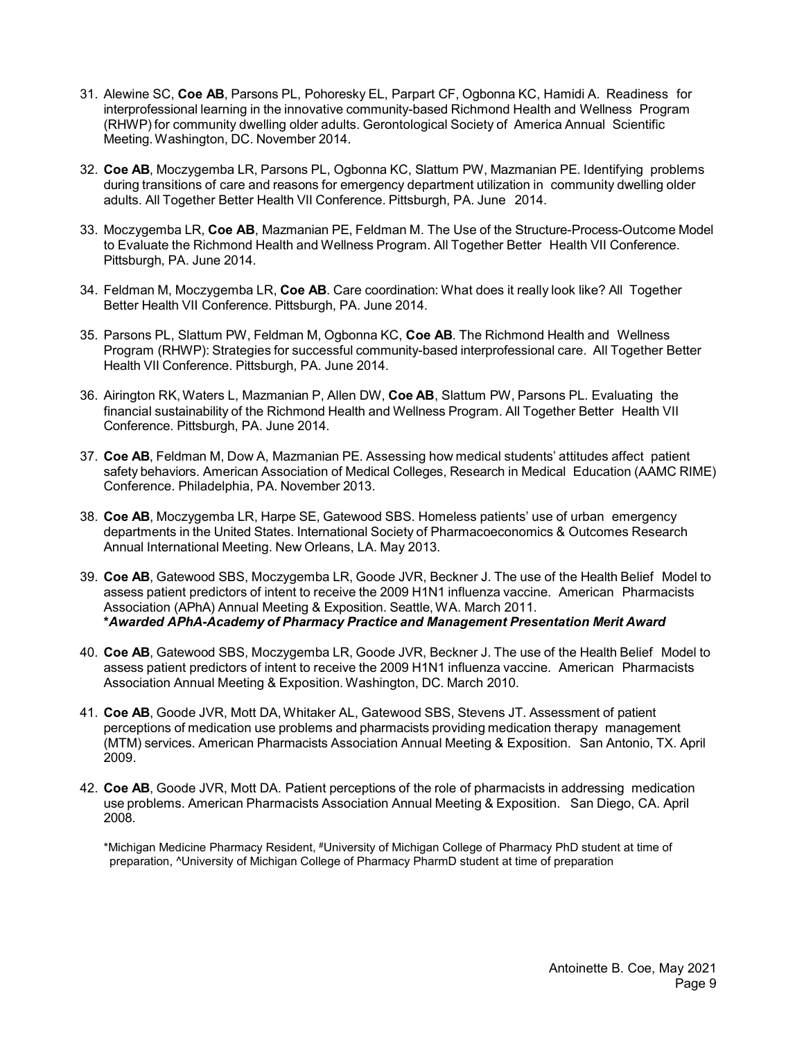- 31. Alewine SC, **Coe AB**, Parsons PL, Pohoresky EL, Parpart CF, Ogbonna KC, Hamidi A. Readiness for interprofessional learning in the innovative community-based Richmond Health and Wellness Program (RHWP) for community dwelling older adults. Gerontological Society of America Annual Scientific Meeting.Washington, DC. November 2014.
- 32. **Coe AB**, Moczygemba LR, Parsons PL, Ogbonna KC, Slattum PW, Mazmanian PE. Identifying problems during transitions of care and reasons for emergency department utilization in community dwelling older adults. All Together Better Health VII Conference. Pittsburgh, PA. June 2014.
- 33. Moczygemba LR, **Coe AB**, Mazmanian PE, Feldman M. The Use of the Structure-Process-Outcome Model to Evaluate the Richmond Health and Wellness Program. All Together Better Health VII Conference. Pittsburgh, PA. June 2014.
- 34. Feldman M, Moczygemba LR, **Coe AB**. Care coordination: What does it really look like? All Together Better Health VII Conference. Pittsburgh, PA. June 2014.
- 35. Parsons PL, Slattum PW, Feldman M, Ogbonna KC, **Coe AB**. The Richmond Health and Wellness Program (RHWP): Strategies for successful community-based interprofessional care. All Together Better Health VII Conference. Pittsburgh, PA. June 2014.
- 36. Airington RK, Waters L, Mazmanian P, Allen DW, **Coe AB**, Slattum PW, Parsons PL. Evaluating the financial sustainability of the Richmond Health and Wellness Program. All Together Better Health VII Conference. Pittsburgh, PA. June 2014.
- 37. **Coe AB**, Feldman M, Dow A, Mazmanian PE. Assessing how medical students' attitudes affect patient safety behaviors. American Association of Medical Colleges, Research in Medical Education (AAMC RIME) Conference. Philadelphia, PA. November 2013.
- 38. **Coe AB**, Moczygemba LR, Harpe SE, Gatewood SBS. Homeless patients' use of urban emergency departments in the United States. International Society of Pharmacoeconomics & Outcomes Research Annual International Meeting. New Orleans, LA. May 2013.
- 39. **Coe AB**, Gatewood SBS, Moczygemba LR, Goode JVR, Beckner J. The use of the Health Belief Model to assess patient predictors of intent to receive the 2009 H1N1 influenza vaccine. American Pharmacists Association (APhA) Annual Meeting & Exposition. Seattle, WA. March 2011. **\****Awarded APhA-Academy of Pharmacy Practice and Management Presentation Merit Award*
- 40. **Coe AB**, Gatewood SBS, Moczygemba LR, Goode JVR, Beckner J. The use of the Health Belief Model to assess patient predictors of intent to receive the 2009 H1N1 influenza vaccine. American Pharmacists Association Annual Meeting & Exposition. Washington, DC. March 2010.
- 41. **Coe AB**, Goode JVR, Mott DA,Whitaker AL, Gatewood SBS, Stevens JT. Assessment of patient perceptions of medication use problems and pharmacists providing medication therapy management (MTM) services. American Pharmacists Association Annual Meeting & Exposition. San Antonio, TX. April 2009.
- 42. **Coe AB**, Goode JVR, Mott DA. Patient perceptions of the role of pharmacists in addressing medication use problems. American Pharmacists Association Annual Meeting & Exposition. San Diego, CA. April 2008.

\*Michigan Medicine Pharmacy Resident, #University of Michigan College of Pharmacy PhD student at time of preparation, ^University of Michigan College of Pharmacy PharmD student at time of preparation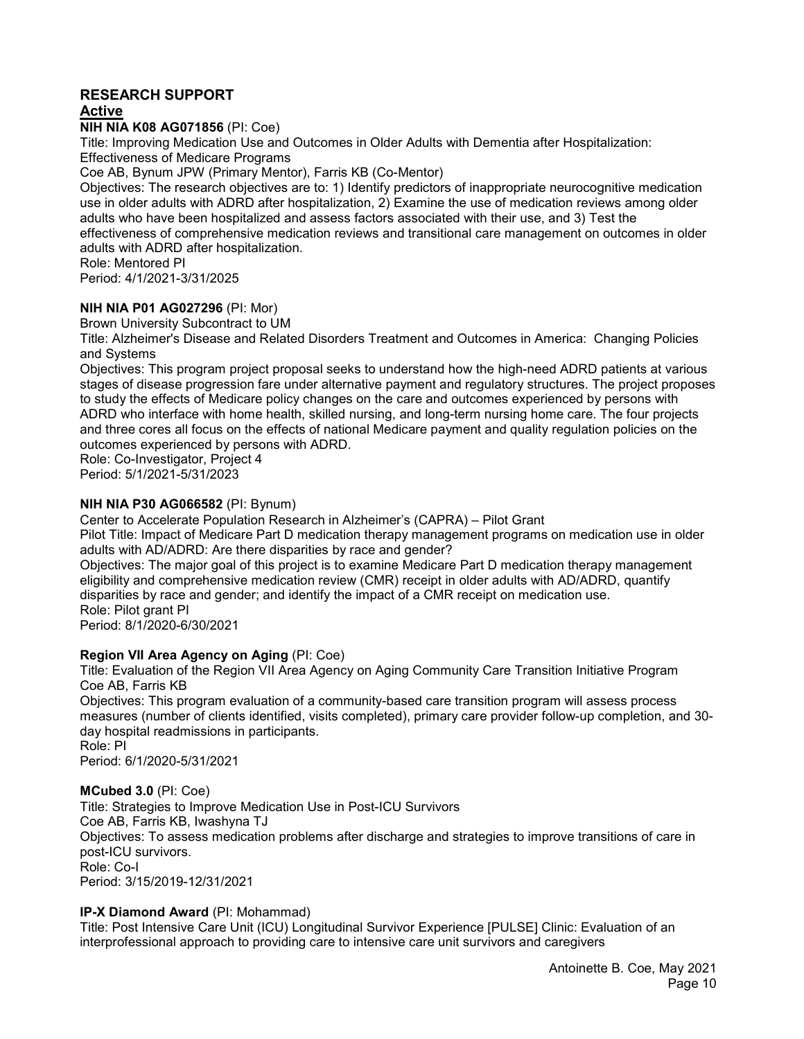# **RESEARCH SUPPORT**

# **Active**

**NIH NIA K08 AG071856** (PI: Coe)

Title: Improving Medication Use and Outcomes in Older Adults with Dementia after Hospitalization: Effectiveness of Medicare Programs

Coe AB, Bynum JPW (Primary Mentor), Farris KB (Co-Mentor)

Objectives: The research objectives are to: 1) Identify predictors of inappropriate neurocognitive medication use in older adults with ADRD after hospitalization, 2) Examine the use of medication reviews among older adults who have been hospitalized and assess factors associated with their use, and 3) Test the effectiveness of comprehensive medication reviews and transitional care management on outcomes in older adults with ADRD after hospitalization.

Role: Mentored PI

Period: 4/1/2021-3/31/2025

## **NIH NIA P01 AG027296** (PI: Mor)

Brown University Subcontract to UM

Title: Alzheimer's Disease and Related Disorders Treatment and Outcomes in America: Changing Policies and Systems

Objectives: This program project proposal seeks to understand how the high-need ADRD patients at various stages of disease progression fare under alternative payment and regulatory structures. The project proposes to study the effects of Medicare policy changes on the care and outcomes experienced by persons with ADRD who interface with home health, skilled nursing, and long-term nursing home care. The four projects and three cores all focus on the effects of national Medicare payment and quality regulation policies on the outcomes experienced by persons with ADRD.

Role: Co-Investigator, Project 4 Period: 5/1/2021-5/31/2023

## **NIH NIA P30 AG066582** (PI: Bynum)

Center to Accelerate Population Research in Alzheimer's (CAPRA) – Pilot Grant

Pilot Title: Impact of Medicare Part D medication therapy management programs on medication use in older adults with AD/ADRD: Are there disparities by race and gender?

Objectives: The major goal of this project is to examine Medicare Part D medication therapy management eligibility and comprehensive medication review (CMR) receipt in older adults with AD/ADRD, quantify disparities by race and gender; and identify the impact of a CMR receipt on medication use. Role: Pilot grant PI

Period: 8/1/2020-6/30/2021

## **Region VII Area Agency on Aging** (PI: Coe)

Title: Evaluation of the Region VII Area Agency on Aging Community Care Transition Initiative Program Coe AB, Farris KB

Objectives: This program evaluation of a community-based care transition program will assess process measures (number of clients identified, visits completed), primary care provider follow-up completion, and 30 day hospital readmissions in participants.

Role: PI Period: 6/1/2020-5/31/2021

## **MCubed 3.0** (PI: Coe)

Title: Strategies to Improve Medication Use in Post-ICU Survivors Coe AB, Farris KB, Iwashyna TJ Objectives: To assess medication problems after discharge and strategies to improve transitions of care in post-ICU survivors. Role: Co-I Period: 3/15/2019-12/31/2021

## **IP-X Diamond Award** (PI: Mohammad)

Title: Post Intensive Care Unit (ICU) Longitudinal Survivor Experience [PULSE] Clinic: Evaluation of an interprofessional approach to providing care to intensive care unit survivors and caregivers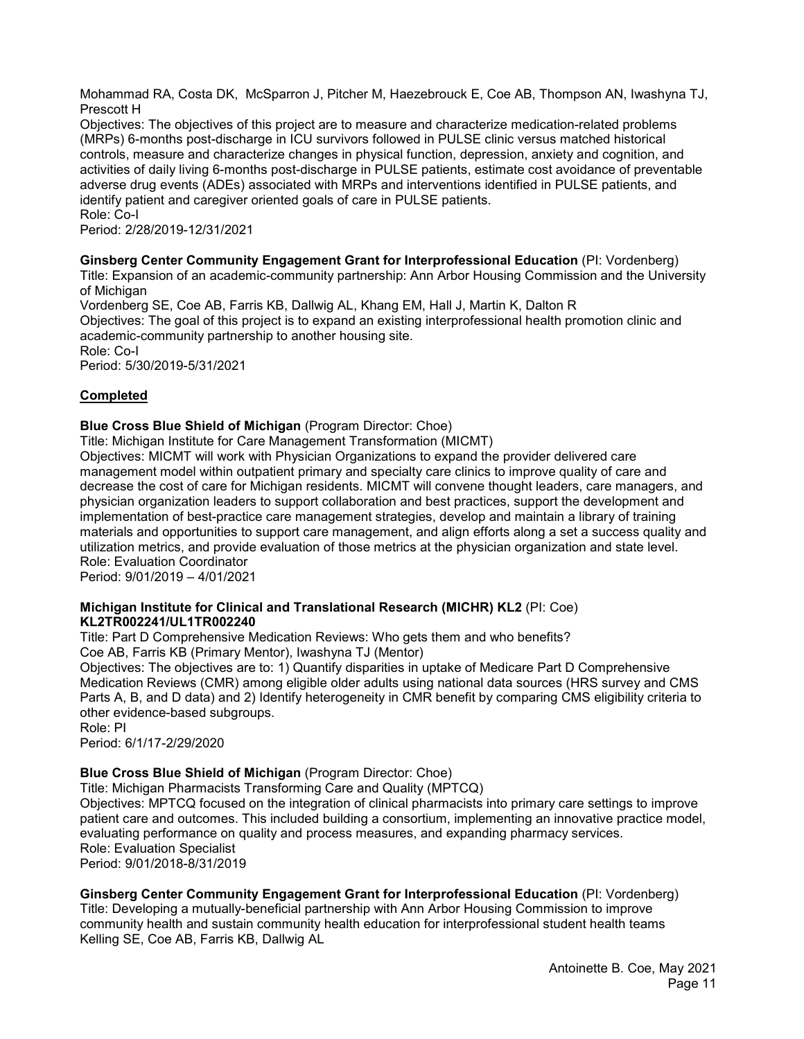Mohammad RA, Costa DK, McSparron J, Pitcher M, Haezebrouck E, Coe AB, Thompson AN, Iwashyna TJ, Prescott H

Objectives: The objectives of this project are to measure and characterize medication-related problems (MRPs) 6-months post-discharge in ICU survivors followed in PULSE clinic versus matched historical controls, measure and characterize changes in physical function, depression, anxiety and cognition, and activities of daily living 6-months post-discharge in PULSE patients, estimate cost avoidance of preventable adverse drug events (ADEs) associated with MRPs and interventions identified in PULSE patients, and identify patient and caregiver oriented goals of care in PULSE patients. Role: Co-I

Period: 2/28/2019-12/31/2021

### **Ginsberg Center Community Engagement Grant for Interprofessional Education** (PI: Vordenberg)

Title: Expansion of an academic-community partnership: Ann Arbor Housing Commission and the University of Michigan

Vordenberg SE, Coe AB, Farris KB, Dallwig AL, Khang EM, Hall J, Martin K, Dalton R Objectives: The goal of this project is to expand an existing interprofessional health promotion clinic and academic-community partnership to another housing site. Role: Co-I

Period: 5/30/2019-5/31/2021

## **Completed**

### **Blue Cross Blue Shield of Michigan** (Program Director: Choe)

Title: Michigan Institute for Care Management Transformation (MICMT)

Objectives: MICMT will work with Physician Organizations to expand the provider delivered care management model within outpatient primary and specialty care clinics to improve quality of care and decrease the cost of care for Michigan residents. MICMT will convene thought leaders, care managers, and physician organization leaders to support collaboration and best practices, support the development and implementation of best-practice care management strategies, develop and maintain a library of training materials and opportunities to support care management, and align efforts along a set a success quality and utilization metrics, and provide evaluation of those metrics at the physician organization and state level. Role: Evaluation Coordinator

Period: 9/01/2019 – 4/01/2021

### **Michigan Institute for Clinical and Translational Research (MICHR) KL2** (PI: Coe) **KL2TR002241/UL1TR002240**

Title: Part D Comprehensive Medication Reviews: Who gets them and who benefits? Coe AB, Farris KB (Primary Mentor), Iwashyna TJ (Mentor)

Objectives: The objectives are to: 1) Quantify disparities in uptake of Medicare Part D Comprehensive Medication Reviews (CMR) among eligible older adults using national data sources (HRS survey and CMS Parts A, B, and D data) and 2) Identify heterogeneity in CMR benefit by comparing CMS eligibility criteria to other evidence-based subgroups.

Role: PI

Period: 6/1/17-2/29/2020

## **Blue Cross Blue Shield of Michigan** (Program Director: Choe)

Title: Michigan Pharmacists Transforming Care and Quality (MPTCQ)

Objectives: MPTCQ focused on the integration of clinical pharmacists into primary care settings to improve patient care and outcomes. This included building a consortium, implementing an innovative practice model, evaluating performance on quality and process measures, and expanding pharmacy services. Role: Evaluation Specialist Period: 9/01/2018-8/31/2019

## **Ginsberg Center Community Engagement Grant for Interprofessional Education** (PI: Vordenberg)

Title: Developing a mutually-beneficial partnership with Ann Arbor Housing Commission to improve community health and sustain community health education for interprofessional student health teams Kelling SE, Coe AB, Farris KB, Dallwig AL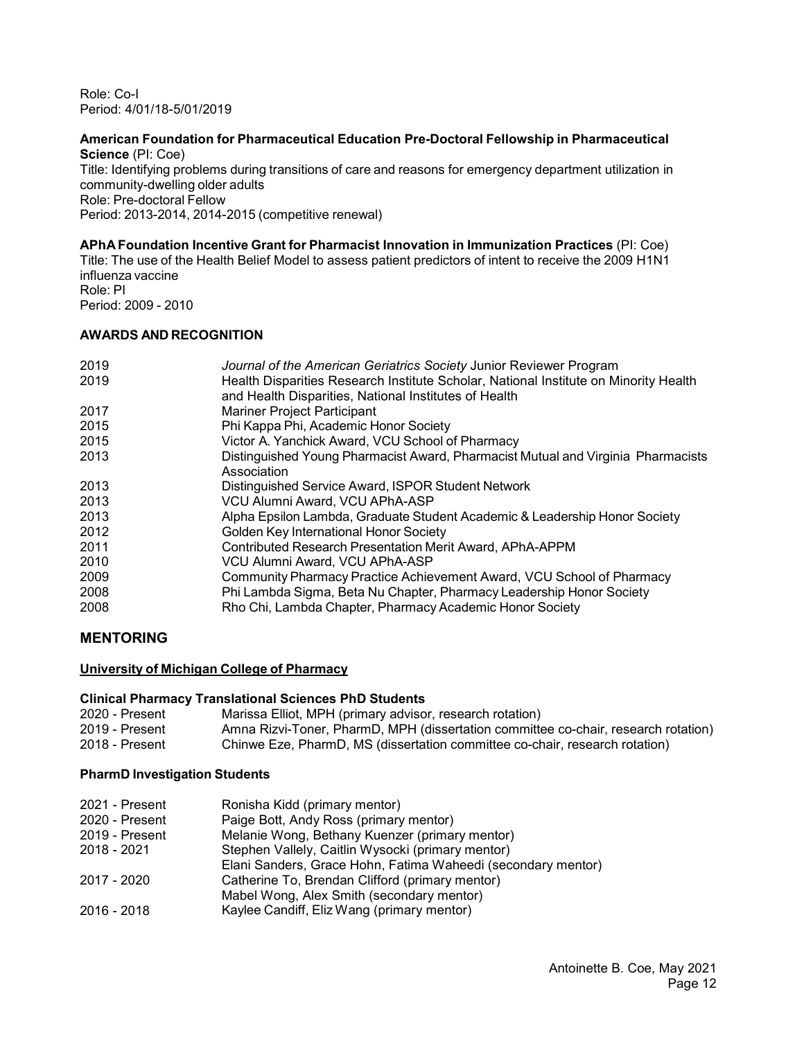Role: Co-I Period: 4/01/18-5/01/2019

#### **American Foundation for Pharmaceutical Education Pre-Doctoral Fellowship in Pharmaceutical Science** (PI: Coe)

Title: Identifying problems during transitions of care and reasons for emergency department utilization in community-dwelling older adults Role: Pre-doctoral Fellow

Period: 2013-2014, 2014-2015 (competitive renewal)

# **APhA Foundation Incentive Grant for Pharmacist Innovation in Immunization Practices** (PI: Coe)

Title: The use of the Health Belief Model to assess patient predictors of intent to receive the 2009 H1N1 influenza vaccine Role: PI

Period: 2009 - 2010

# **AWARDS AND RECOGNITION**

| 2019<br>2019 | Journal of the American Geriatrics Society Junior Reviewer Program<br>Health Disparities Research Institute Scholar, National Institute on Minority Health<br>and Health Disparities, National Institutes of Health |
|--------------|---------------------------------------------------------------------------------------------------------------------------------------------------------------------------------------------------------------------|
| 2017         | <b>Mariner Project Participant</b>                                                                                                                                                                                  |
| 2015         | Phi Kappa Phi, Academic Honor Society                                                                                                                                                                               |
| 2015         | Victor A. Yanchick Award, VCU School of Pharmacy                                                                                                                                                                    |
| 2013         | Distinguished Young Pharmacist Award, Pharmacist Mutual and Virginia Pharmacists<br>Association                                                                                                                     |
| 2013         | Distinguished Service Award, ISPOR Student Network                                                                                                                                                                  |
| 2013         | VCU Alumni Award, VCU APhA-ASP                                                                                                                                                                                      |
| 2013         | Alpha Epsilon Lambda, Graduate Student Academic & Leadership Honor Society                                                                                                                                          |
| 2012         | Golden Key International Honor Society                                                                                                                                                                              |
| 2011         | Contributed Research Presentation Merit Award, APhA-APPM                                                                                                                                                            |
| 2010         | VCU Alumni Award, VCU APhA-ASP                                                                                                                                                                                      |
| 2009         | Community Pharmacy Practice Achievement Award, VCU School of Pharmacy                                                                                                                                               |
| 2008         | Phi Lambda Sigma, Beta Nu Chapter, Pharmacy Leadership Honor Society                                                                                                                                                |
| 2008         | Rho Chi, Lambda Chapter, Pharmacy Academic Honor Society                                                                                                                                                            |

# **MENTORING**

## **University of Michigan College of Pharmacy**

## **Clinical Pharmacy Translational Sciences PhD Students**

| 2020 - Present | Marissa Elliot, MPH (primary advisor, research rotation)                           |
|----------------|------------------------------------------------------------------------------------|
| 2019 - Present | Amna Rizvi-Toner, PharmD, MPH (dissertation committee co-chair, research rotation) |
| 2018 - Present | Chinwe Eze. PharmD. MS (dissertation committee co-chair, research rotation)        |

## **PharmD Investigation Students**

| 2021 - Present | Ronisha Kidd (primary mentor)                                |
|----------------|--------------------------------------------------------------|
| 2020 - Present | Paige Bott, Andy Ross (primary mentor)                       |
| 2019 - Present | Melanie Wong, Bethany Kuenzer (primary mentor)               |
| 2018 - 2021    | Stephen Vallely, Caitlin Wysocki (primary mentor)            |
|                | Elani Sanders, Grace Hohn, Fatima Waheedi (secondary mentor) |
| 2017 - 2020    | Catherine To, Brendan Clifford (primary mentor)              |
|                | Mabel Wong, Alex Smith (secondary mentor)                    |
| 2016 - 2018    | Kaylee Candiff, Eliz Wang (primary mentor)                   |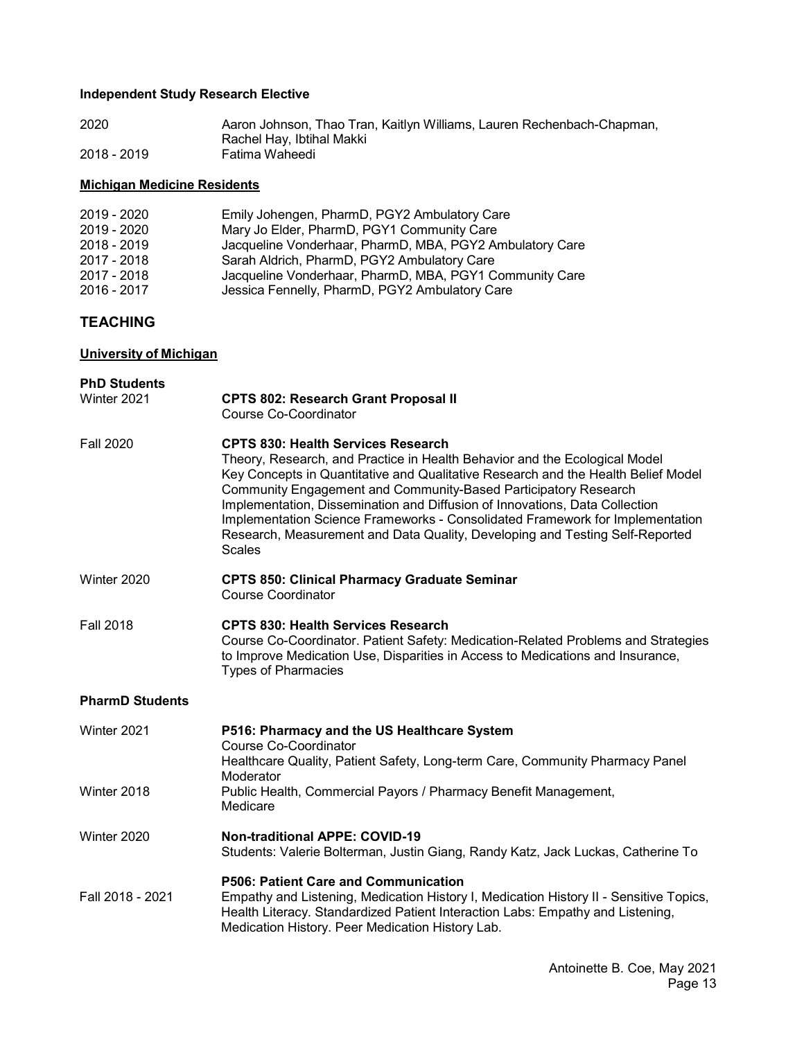# **Independent Study Research Elective**

| 2020        | Aaron Johnson, Thao Tran, Kaitlyn Williams, Lauren Rechenbach-Chapman, |
|-------------|------------------------------------------------------------------------|
|             | Rachel Hay, Ibtihal Makki                                              |
| 2018 - 2019 | Fatima Waheedi                                                         |

# **Michigan Medicine Residents**

| 2019 - 2020 | Emily Johengen, PharmD, PGY2 Ambulatory Care             |
|-------------|----------------------------------------------------------|
| 2019 - 2020 | Mary Jo Elder, PharmD, PGY1 Community Care               |
| 2018 - 2019 | Jacqueline Vonderhaar, PharmD, MBA, PGY2 Ambulatory Care |
| 2017 - 2018 | Sarah Aldrich, PharmD, PGY2 Ambulatory Care              |
| 2017 - 2018 | Jacqueline Vonderhaar, PharmD, MBA, PGY1 Community Care  |
| 2016 - 2017 | Jessica Fennelly, PharmD, PGY2 Ambulatory Care           |

# **TEACHING**

# **University of Michigan**

| <b>PhD Students</b><br>Winter 2021 | <b>CPTS 802: Research Grant Proposal II</b><br>Course Co-Coordinator                                                                                                                                                                                                                                                                                                                                                                                                                                                                             |  |  |  |
|------------------------------------|--------------------------------------------------------------------------------------------------------------------------------------------------------------------------------------------------------------------------------------------------------------------------------------------------------------------------------------------------------------------------------------------------------------------------------------------------------------------------------------------------------------------------------------------------|--|--|--|
| <b>Fall 2020</b>                   | <b>CPTS 830: Health Services Research</b><br>Theory, Research, and Practice in Health Behavior and the Ecological Model<br>Key Concepts in Quantitative and Qualitative Research and the Health Belief Model<br>Community Engagement and Community-Based Participatory Research<br>Implementation, Dissemination and Diffusion of Innovations, Data Collection<br>Implementation Science Frameworks - Consolidated Framework for Implementation<br>Research, Measurement and Data Quality, Developing and Testing Self-Reported<br><b>Scales</b> |  |  |  |
| Winter 2020                        | <b>CPTS 850: Clinical Pharmacy Graduate Seminar</b><br><b>Course Coordinator</b>                                                                                                                                                                                                                                                                                                                                                                                                                                                                 |  |  |  |
| <b>Fall 2018</b>                   | <b>CPTS 830: Health Services Research</b><br>Course Co-Coordinator. Patient Safety: Medication-Related Problems and Strategies<br>to Improve Medication Use, Disparities in Access to Medications and Insurance,<br><b>Types of Pharmacies</b>                                                                                                                                                                                                                                                                                                   |  |  |  |
| <b>PharmD Students</b>             |                                                                                                                                                                                                                                                                                                                                                                                                                                                                                                                                                  |  |  |  |
| Winter 2021                        | P516: Pharmacy and the US Healthcare System<br><b>Course Co-Coordinator</b><br>Healthcare Quality, Patient Safety, Long-term Care, Community Pharmacy Panel<br>Moderator                                                                                                                                                                                                                                                                                                                                                                         |  |  |  |
| Winter 2018                        | Public Health, Commercial Payors / Pharmacy Benefit Management,<br>Medicare                                                                                                                                                                                                                                                                                                                                                                                                                                                                      |  |  |  |
| Winter 2020                        | <b>Non-traditional APPE: COVID-19</b><br>Students: Valerie Bolterman, Justin Giang, Randy Katz, Jack Luckas, Catherine To                                                                                                                                                                                                                                                                                                                                                                                                                        |  |  |  |
| Fall 2018 - 2021                   | P506: Patient Care and Communication<br>Empathy and Listening, Medication History I, Medication History II - Sensitive Topics,<br>Health Literacy. Standardized Patient Interaction Labs: Empathy and Listening,<br>Medication History. Peer Medication History Lab.                                                                                                                                                                                                                                                                             |  |  |  |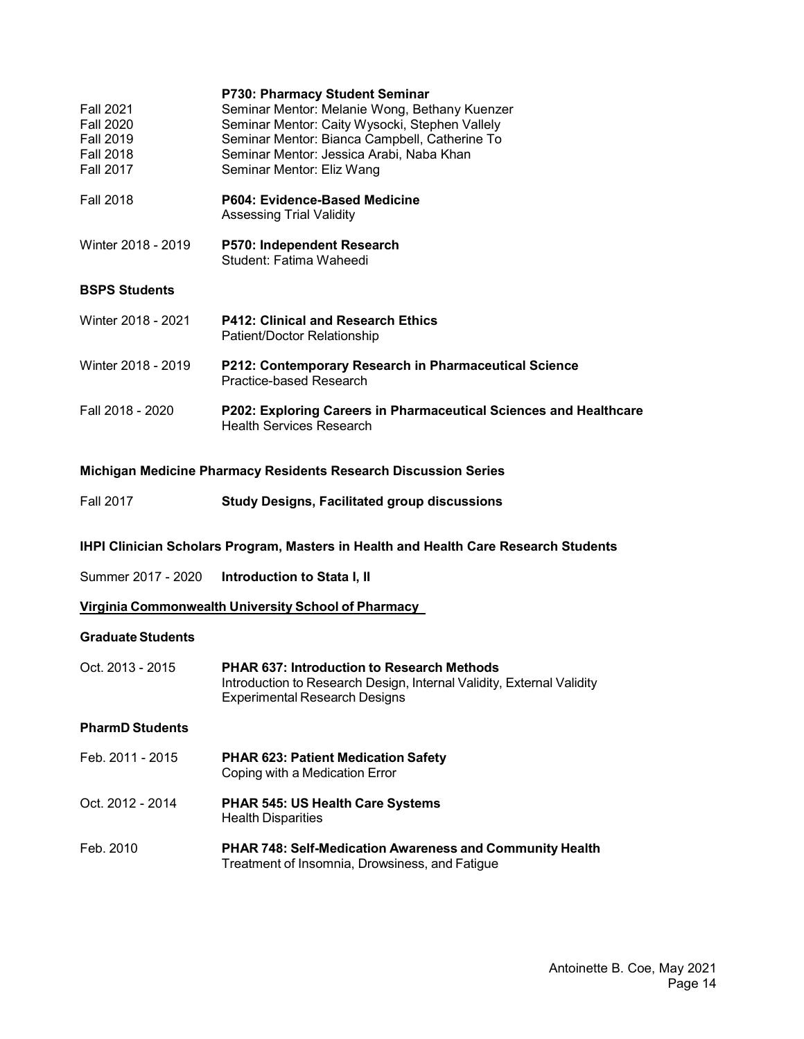| P202: Exploring Careers in Pharmaceutical Sciences and Healthcare |
|-------------------------------------------------------------------|
|                                                                   |

### **Michigan Medicine Pharmacy Residents Research Discussion Series**

| <b>Fall 2017</b> | <b>Study Designs, Facilitated group discussions</b> |  |  |
|------------------|-----------------------------------------------------|--|--|
|                  |                                                     |  |  |

### **IHPI Clinician Scholars Program, Masters in Health and Health Care Research Students**

Summer 2017 - 2020 **Introduction to Stata I, II**

**Virginia Commonwealth University School of Pharmacy**

## **Graduate Students**

| Oct. 2013 - 2015 | <b>PHAR 637: Introduction to Research Methods</b>                     |
|------------------|-----------------------------------------------------------------------|
|                  | Introduction to Research Design, Internal Validity, External Validity |
|                  | Experimental Research Designs                                         |

### **PharmD Students**

- Feb. 2011 2015 **PHAR 623: Patient Medication Safety** Coping with a Medication Error
- Oct. 2012 2014 **PHAR 545: US Health Care Systems**  Health Disparities
- Feb. 2010 **PHAR 748: Self-Medication Awareness and Community Health** Treatment of Insomnia, Drowsiness, and Fatigue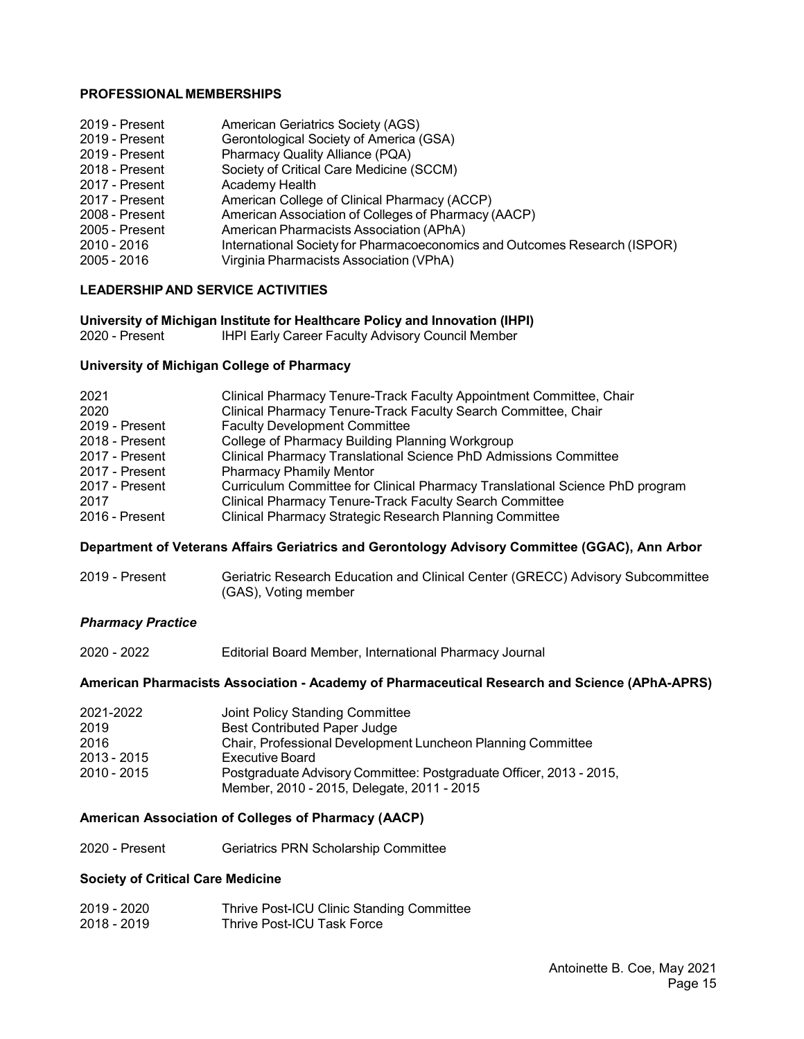### **PROFESSIONAL MEMBERSHIPS**

| <b>American Geriatrics Society (AGS)</b>                                  |
|---------------------------------------------------------------------------|
| Gerontological Society of America (GSA)                                   |
| Pharmacy Quality Alliance (PQA)                                           |
| Society of Critical Care Medicine (SCCM)                                  |
| Academy Health                                                            |
| American College of Clinical Pharmacy (ACCP)                              |
| American Association of Colleges of Pharmacy (AACP)                       |
| American Pharmacists Association (APhA)                                   |
| International Society for Pharmacoeconomics and Outcomes Research (ISPOR) |
| Virginia Pharmacists Association (VPhA)                                   |
|                                                                           |

## **LEADERSHIP AND SERVICE ACTIVITIES**

### **University of Michigan Institute for Healthcare Policy and Innovation (IHPI)**

| 2020 - Present | <b>IHPI Early Career Faculty Advisory Council Member</b> |  |
|----------------|----------------------------------------------------------|--|
|                |                                                          |  |

### **University of Michigan College of Pharmacy**

| 2021           | Clinical Pharmacy Tenure-Track Faculty Appointment Committee, Chair          |
|----------------|------------------------------------------------------------------------------|
| 2020           | Clinical Pharmacy Tenure-Track Faculty Search Committee, Chair               |
| 2019 - Present | <b>Faculty Development Committee</b>                                         |
| 2018 - Present | College of Pharmacy Building Planning Workgroup                              |
| 2017 - Present | <b>Clinical Pharmacy Translational Science PhD Admissions Committee</b>      |
| 2017 - Present | <b>Pharmacy Phamily Mentor</b>                                               |
| 2017 - Present | Curriculum Committee for Clinical Pharmacy Translational Science PhD program |
| 2017           | <b>Clinical Pharmacy Tenure-Track Faculty Search Committee</b>               |
| 2016 - Present | Clinical Pharmacy Strategic Research Planning Committee                      |
|                |                                                                              |

### **Department of Veterans Affairs Geriatrics and Gerontology Advisory Committee (GGAC), Ann Arbor**

| 2019 - Present | Geriatric Research Education and Clinical Center (GRECC) Advisory Subcommittee |
|----------------|--------------------------------------------------------------------------------|
|                | (GAS), Voting member                                                           |

### *Pharmacy Practice*

| 2020 - 2022 | Editorial Board Member, International Pharmacy Journal |  |
|-------------|--------------------------------------------------------|--|
|-------------|--------------------------------------------------------|--|

### **American Pharmacists Association - Academy of Pharmaceutical Research and Science (APhA-APRS)**

| 2021-2022   | Joint Policy Standing Committee                                                                                   |
|-------------|-------------------------------------------------------------------------------------------------------------------|
| 2019        | <b>Best Contributed Paper Judge</b>                                                                               |
| 2016        | Chair, Professional Development Luncheon Planning Committee                                                       |
| 2013 - 2015 | Executive Board                                                                                                   |
| 2010 - 2015 | Postgraduate Advisory Committee: Postgraduate Officer, 2013 - 2015,<br>Member, 2010 - 2015, Delegate, 2011 - 2015 |

## **American Association of Colleges of Pharmacy (AACP)**

2020 - Present Geriatrics PRN Scholarship Committee

### **Society of Critical Care Medicine**

| 2019 - 2020 | Thrive Post-ICU Clinic Standing Committee |
|-------------|-------------------------------------------|
| 2018 - 2019 | Thrive Post-ICU Task Force                |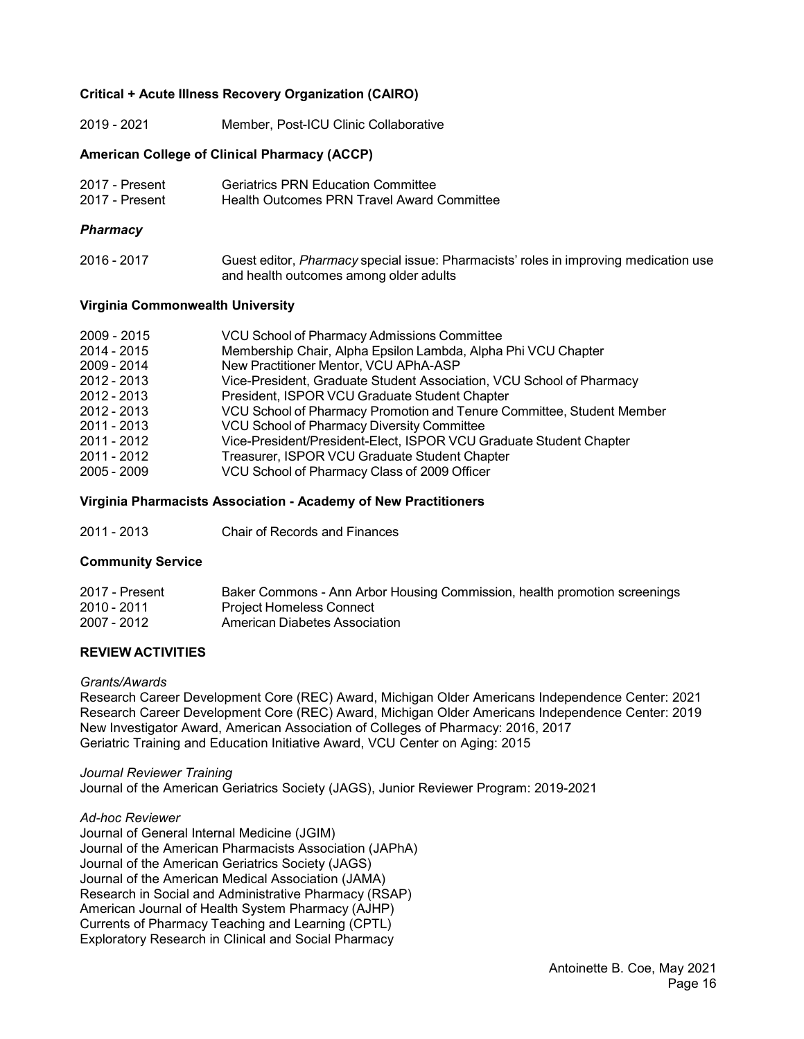### **Critical + Acute Illness Recovery Organization (CAIRO)**

2019 - 2021 Member, Post-ICU Clinic Collaborative

### **American College of Clinical Pharmacy (ACCP)**

| 2017 - Present | <b>Geriatrics PRN Education Committee</b>  |
|----------------|--------------------------------------------|
| 2017 - Present | Health Outcomes PRN Travel Award Committee |

### *Pharmacy*

| 2016 - 2017 | Guest editor, Pharmacy special issue: Pharmacists' roles in improving medication use |
|-------------|--------------------------------------------------------------------------------------|
|             | and health outcomes among older adults                                               |

### **Virginia Commonwealth University**

| 2009 - 2015 | VCU School of Pharmacy Admissions Committee                           |
|-------------|-----------------------------------------------------------------------|
| 2014 - 2015 | Membership Chair, Alpha Epsilon Lambda, Alpha Phi VCU Chapter         |
| 2009 - 2014 | New Practitioner Mentor, VCU APhA-ASP                                 |
| 2012 - 2013 | Vice-President, Graduate Student Association, VCU School of Pharmacy  |
| 2012 - 2013 | President, ISPOR VCU Graduate Student Chapter                         |
| 2012 - 2013 | VCU School of Pharmacy Promotion and Tenure Committee, Student Member |
| 2011 - 2013 | <b>VCU School of Pharmacy Diversity Committee</b>                     |
| 2011 - 2012 | Vice-President/President-Elect, ISPOR VCU Graduate Student Chapter    |
| 2011 - 2012 | Treasurer, ISPOR VCU Graduate Student Chapter                         |
| 2005 - 2009 | VCU School of Pharmacy Class of 2009 Officer                          |
|             |                                                                       |

### **Virginia Pharmacists Association - Academy of New Practitioners**

2011 - 2013 Chair of Records and Finances

### **Community Service**

| 2017 - Present | Baker Commons - Ann Arbor Housing Commission, health promotion screenings |
|----------------|---------------------------------------------------------------------------|
| 2010 - 2011    | Project Homeless Connect                                                  |
| 2007 - 2012    | American Diabetes Association                                             |

## **REVIEW ACTIVITIES**

### *Grants/Awards*

Research Career Development Core (REC) Award, Michigan Older Americans Independence Center: 2021 Research Career Development Core (REC) Award, Michigan Older Americans Independence Center: 2019 New Investigator Award, American Association of Colleges of Pharmacy: 2016, 2017 Geriatric Training and Education Initiative Award, VCU Center on Aging: 2015

### *Journal Reviewer Training*

Journal of the American Geriatrics Society (JAGS), Junior Reviewer Program: 2019-2021

### *Ad-hoc Reviewer*

Journal of General Internal Medicine (JGIM) Journal of the American Pharmacists Association (JAPhA) Journal of the American Geriatrics Society (JAGS) Journal of the American Medical Association (JAMA) Research in Social and Administrative Pharmacy (RSAP) American Journal of Health System Pharmacy (AJHP) Currents of Pharmacy Teaching and Learning (CPTL) Exploratory Research in Clinical and Social Pharmacy